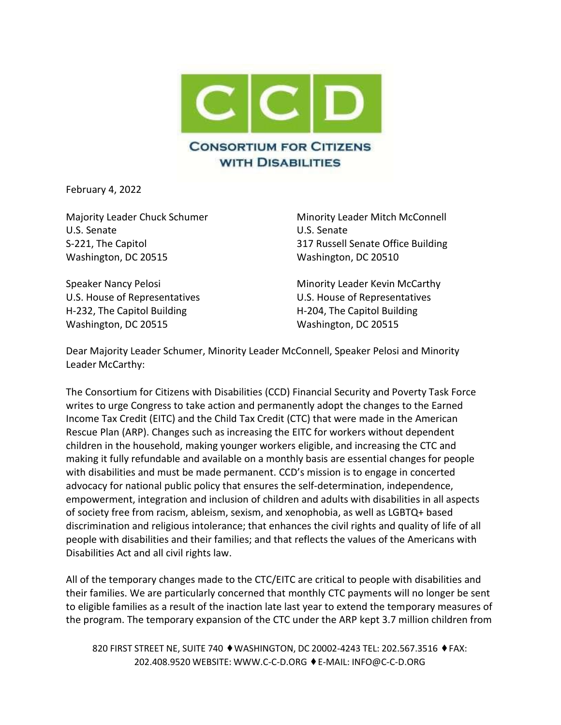

February 4, 2022

U.S. Senate U.S. Senate Washington, DC 20515 Washington, DC 20510

H-232, The Capitol Building The Capitol Building H-204, The Capitol Building Washington, DC 20515 Washington, DC 20515

Majority Leader Chuck Schumer Minority Leader Mitch McConnell S-221, The Capitol 317 Russell Senate Office Building

Speaker Nancy Pelosi **Minority Leader Kevin McCarthy** U.S. House of Representatives U.S. House of Representatives

Dear Majority Leader Schumer, Minority Leader McConnell, Speaker Pelosi and Minority Leader McCarthy:

The Consortium for Citizens with Disabilities (CCD) Financial Security and Poverty Task Force writes to urge Congress to take action and permanently adopt the changes to the Earned Income Tax Credit (EITC) and the Child Tax Credit (CTC) that were made in the American Rescue Plan (ARP). Changes such as increasing the EITC for workers without dependent children in the household, making younger workers eligible, and increasing the CTC and making it fully refundable and available on a monthly basis are essential changes for people with disabilities and must be made permanent. CCD's mission is to engage in concerted advocacy for national public policy that ensures the self-determination, independence, empowerment, integration and inclusion of children and adults with disabilities in all aspects of society free from racism, ableism, sexism, and xenophobia, as well as LGBTQ+ based discrimination and religious intolerance; that enhances the civil rights and quality of life of all people with disabilities and their families; and that reflects the values of the Americans with Disabilities Act and all civil rights law.

All of the temporary changes made to the CTC/EITC are critical to people with disabilities and their families. We are particularly concerned that monthly CTC payments will no longer be sent to eligible families as a result of the inaction late last year to extend the temporary measures of the program. The temporary expansion of the CTC under the ARP kept 3.7 million children from

820 FIRST STREET NE, SUITE 740 ♦ WASHINGTON, DC 20002-4243 TEL: 202.567.3516 ♦ FAX: 202.408.9520 WEBSITE: [WWW.C-C-D.ORG](http://www.c-c-d.org/) ⬧E-MAIL: [INFO@C-C-D.ORG](mailto:INFO@C-C-D.ORG)